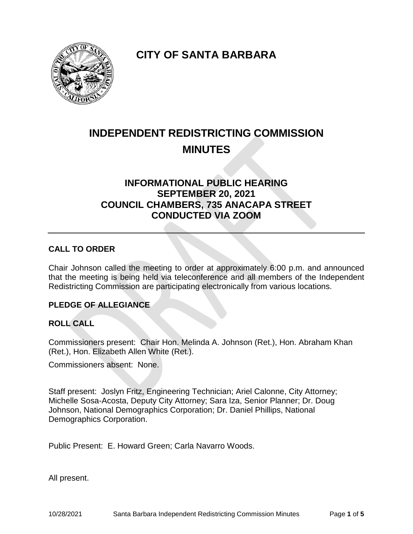**CITY OF SANTA BARBARA**

# **INDEPENDENT REDISTRICTING COMMISSION MINUTES**

# **INFORMATIONAL PUBLIC HEARING SEPTEMBER 20, 2021 COUNCIL CHAMBERS, 735 ANACAPA STREET CONDUCTED VIA ZOOM**

# **CALL TO ORDER**

Chair Johnson called the meeting to order at approximately 6:00 p.m. and announced that the meeting is being held via teleconference and all members of the Independent Redistricting Commission are participating electronically from various locations.

# **PLEDGE OF ALLEGIANCE**

# **ROLL CALL**

Commissioners present: Chair Hon. Melinda A. Johnson (Ret.), Hon. Abraham Khan (Ret.), Hon. Elizabeth Allen White (Ret.).

Commissioners absent: None.

Staff present: Joslyn Fritz, Engineering Technician; Ariel Calonne, City Attorney; Michelle Sosa-Acosta, Deputy City Attorney; Sara Iza, Senior Planner; Dr. Doug Johnson, National Demographics Corporation; Dr. Daniel Phillips, National Demographics Corporation.

Public Present: E. Howard Green; Carla Navarro Woods.

All present.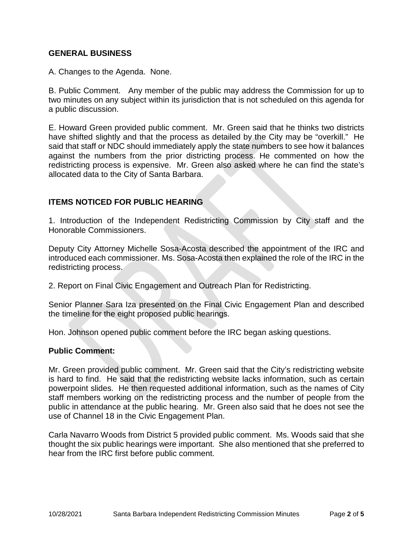### **GENERAL BUSINESS**

A. Changes to the Agenda. None.

B. Public Comment. Any member of the public may address the Commission for up to two minutes on any subject within its jurisdiction that is not scheduled on this agenda for a public discussion.

E. Howard Green provided public comment. Mr. Green said that he thinks two districts have shifted slightly and that the process as detailed by the City may be "overkill." He said that staff or NDC should immediately apply the state numbers to see how it balances against the numbers from the prior districting process. He commented on how the redistricting process is expensive. Mr. Green also asked where he can find the state's allocated data to the City of Santa Barbara.

# **ITEMS NOTICED FOR PUBLIC HEARING**

1. Introduction of the Independent Redistricting Commission by City staff and the Honorable Commissioners.

Deputy City Attorney Michelle Sosa-Acosta described the appointment of the IRC and introduced each commissioner. Ms. Sosa-Acosta then explained the role of the IRC in the redistricting process.

2. Report on Final Civic Engagement and Outreach Plan for Redistricting.

Senior Planner Sara Iza presented on the Final Civic Engagement Plan and described the timeline for the eight proposed public hearings.

Hon. Johnson opened public comment before the IRC began asking questions.

#### **Public Comment:**

Mr. Green provided public comment. Mr. Green said that the City's redistricting website is hard to find. He said that the redistricting website lacks information, such as certain powerpoint slides. He then requested additional information, such as the names of City staff members working on the redistricting process and the number of people from the public in attendance at the public hearing. Mr. Green also said that he does not see the use of Channel 18 in the Civic Engagement Plan.

Carla Navarro Woods from District 5 provided public comment. Ms. Woods said that she thought the six public hearings were important. She also mentioned that she preferred to hear from the IRC first before public comment.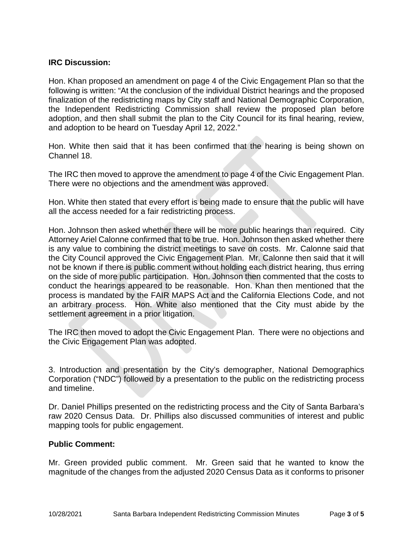# **IRC Discussion:**

Hon. Khan proposed an amendment on page 4 of the Civic Engagement Plan so that the following is written: "At the conclusion of the individual District hearings and the proposed finalization of the redistricting maps by City staff and National Demographic Corporation, the Independent Redistricting Commission shall review the proposed plan before adoption, and then shall submit the plan to the City Council for its final hearing, review, and adoption to be heard on Tuesday April 12, 2022."

Hon. White then said that it has been confirmed that the hearing is being shown on Channel 18.

The IRC then moved to approve the amendment to page 4 of the Civic Engagement Plan. There were no objections and the amendment was approved.

Hon. White then stated that every effort is being made to ensure that the public will have all the access needed for a fair redistricting process.

Hon. Johnson then asked whether there will be more public hearings than required. City Attorney Ariel Calonne confirmed that to be true. Hon. Johnson then asked whether there is any value to combining the district meetings to save on costs. Mr. Calonne said that the City Council approved the Civic Engagement Plan. Mr. Calonne then said that it will not be known if there is public comment without holding each district hearing, thus erring on the side of more public participation. Hon. Johnson then commented that the costs to conduct the hearings appeared to be reasonable. Hon. Khan then mentioned that the process is mandated by the FAIR MAPS Act and the California Elections Code, and not an arbitrary process. Hon. White also mentioned that the City must abide by the settlement agreement in a prior litigation.

The IRC then moved to adopt the Civic Engagement Plan. There were no objections and the Civic Engagement Plan was adopted.

3. Introduction and presentation by the City's demographer, National Demographics Corporation ("NDC") followed by a presentation to the public on the redistricting process and timeline.

Dr. Daniel Phillips presented on the redistricting process and the City of Santa Barbara's raw 2020 Census Data. Dr. Phillips also discussed communities of interest and public mapping tools for public engagement.

# **Public Comment:**

Mr. Green provided public comment. Mr. Green said that he wanted to know the magnitude of the changes from the adjusted 2020 Census Data as it conforms to prisoner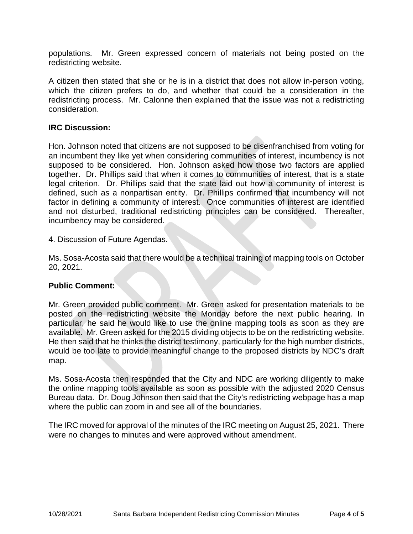populations. Mr. Green expressed concern of materials not being posted on the redistricting website.

A citizen then stated that she or he is in a district that does not allow in-person voting, which the citizen prefers to do, and whether that could be a consideration in the redistricting process. Mr. Calonne then explained that the issue was not a redistricting consideration.

#### **IRC Discussion:**

Hon. Johnson noted that citizens are not supposed to be disenfranchised from voting for an incumbent they like yet when considering communities of interest, incumbency is not supposed to be considered. Hon. Johnson asked how those two factors are applied together. Dr. Phillips said that when it comes to communities of interest, that is a state legal criterion. Dr. Phillips said that the state laid out how a community of interest is defined, such as a nonpartisan entity. Dr. Phillips confirmed that incumbency will not factor in defining a community of interest. Once communities of interest are identified and not disturbed, traditional redistricting principles can be considered. Thereafter, incumbency may be considered.

4. Discussion of Future Agendas.

Ms. Sosa-Acosta said that there would be a technical training of mapping tools on October 20, 2021.

#### **Public Comment:**

Mr. Green provided public comment. Mr. Green asked for presentation materials to be posted on the redistricting website the Monday before the next public hearing. In particular, he said he would like to use the online mapping tools as soon as they are available. Mr. Green asked for the 2015 dividing objects to be on the redistricting website. He then said that he thinks the district testimony, particularly for the high number districts, would be too late to provide meaningful change to the proposed districts by NDC's draft map.

Ms. Sosa-Acosta then responded that the City and NDC are working diligently to make the online mapping tools available as soon as possible with the adjusted 2020 Census Bureau data. Dr. Doug Johnson then said that the City's redistricting webpage has a map where the public can zoom in and see all of the boundaries.

The IRC moved for approval of the minutes of the IRC meeting on August 25, 2021. There were no changes to minutes and were approved without amendment.